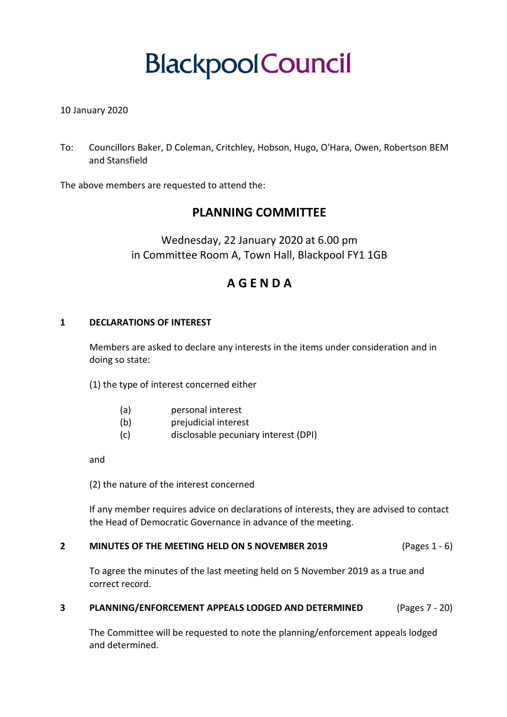# **BlackpoolCouncil**

# 10 January 2020

To: Councillors Baker, D Coleman, Critchley, Hobson, Hugo, O'Hara, Owen, Robertson BEM and Stansfield

The above members are requested to attend the:

# **PLANNING COMMITTEE**

Wednesday, 22 January 2020 at 6.00 pm in Committee Room A, Town Hall, Blackpool FY1 1GB

# **A G E N D A**

## **1 DECLARATIONS OF INTEREST**

Members are asked to declare any interests in the items under consideration and in doing so state:

(1) the type of interest concerned either

- (a) personal interest
- (b) prejudicial interest
- (c) disclosable pecuniary interest (DPI)

and

(2) the nature of the interest concerned

If any member requires advice on declarations of interests, they are advised to contact the Head of Democratic Governance in advance of the meeting.

#### **2 MINUTES OF THE MEETING HELD ON 5 NOVEMBER 2019** (Pages 1 - 6)

To agree the minutes of the last meeting held on 5 November 2019 as a true and correct record.

## **3 PLANNING/ENFORCEMENT APPEALS LODGED AND DETERMINED** (Pages 7 - 20)

The Committee will be requested to note the planning/enforcement appeals lodged and determined.